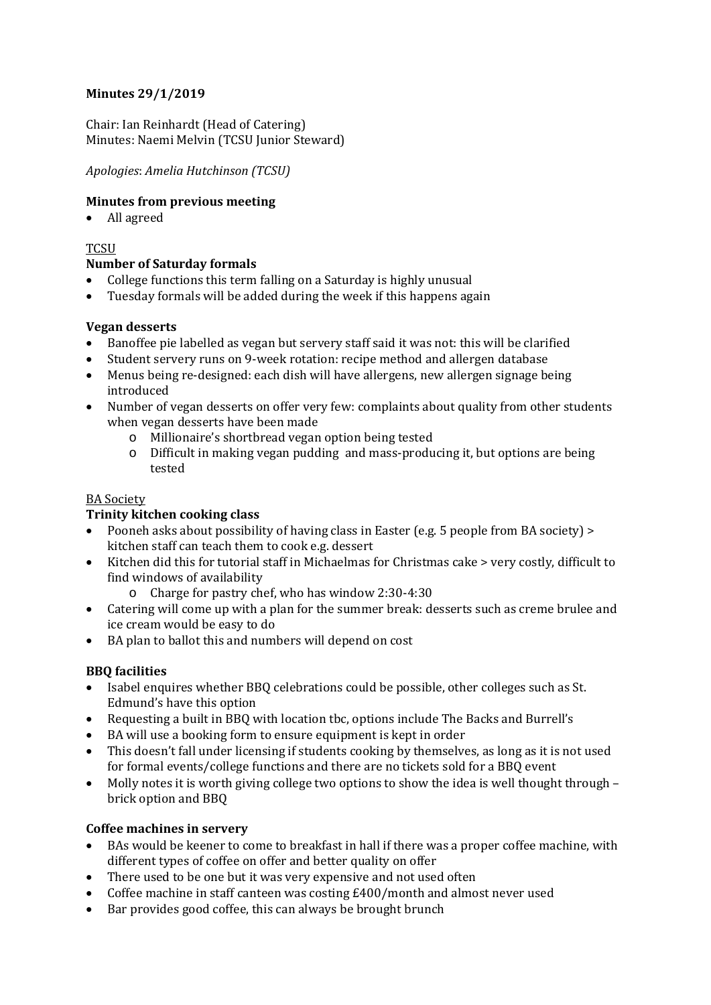## **Minutes 29/1/2019**

Chair: Ian Reinhardt (Head of Catering) Minutes: Naemi Melvin (TCSU Junior Steward)

## *Apologies*: *Amelia Hutchinson (TCSU)*

## **Minutes from previous meeting**

All agreed

## **TCSU**

#### **Number of Saturday formals**

- College functions this term falling on a Saturday is highly unusual
- Tuesday formals will be added during the week if this happens again

## **Vegan desserts**

- Banoffee pie labelled as vegan but servery staff said it was not: this will be clarified
- Student servery runs on 9-week rotation: recipe method and allergen database
- Menus being re-designed: each dish will have allergens, new allergen signage being introduced
- Number of vegan desserts on offer very few: complaints about quality from other students when vegan desserts have been made
	- o Millionaire's shortbread vegan option being tested
	- o Difficult in making vegan pudding and mass-producing it, but options are being tested

### BA Society

#### **Trinity kitchen cooking class**

- Pooneh asks about possibility of having class in Easter (e.g. 5 people from BA society) > kitchen staff can teach them to cook e.g. dessert
- Kitchen did this for tutorial staff in Michaelmas for Christmas cake > very costly, difficult to find windows of availability
	- o Charge for pastry chef, who has window 2:30-4:30
- Catering will come up with a plan for the summer break: desserts such as creme brulee and ice cream would be easy to do
- BA plan to ballot this and numbers will depend on cost

# **BBQ facilities**

- Isabel enquires whether BBQ celebrations could be possible, other colleges such as St. Edmund's have this option
- Requesting a built in BBQ with location tbc, options include The Backs and Burrell's
- BA will use a booking form to ensure equipment is kept in order
- This doesn't fall under licensing if students cooking by themselves, as long as it is not used for formal events/college functions and there are no tickets sold for a BBQ event
- $\bullet$  Molly notes it is worth giving college two options to show the idea is well thought through brick option and BBQ

# **Coffee machines in servery**

- BAs would be keener to come to breakfast in hall if there was a proper coffee machine, with different types of coffee on offer and better quality on offer
- There used to be one but it was very expensive and not used often
- Coffee machine in staff canteen was costing £400/month and almost never used
- Bar provides good coffee, this can always be brought brunch